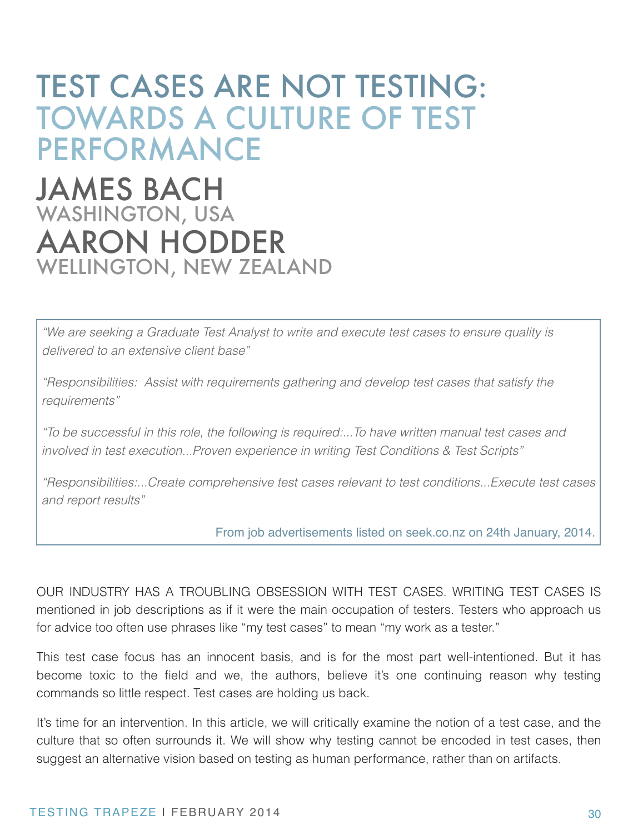# TEST CASES ARE NOT TESTING: TOWARDS A CULTURE OF TEST PERFORMANCE

# JAMES BACH WASHINGTON, USA AARON HODDER WELLINGTON, NEW ZEALAND

*"We are seeking a Graduate Test Analyst to write and execute test cases to ensure quality is delivered to an extensive client base"*

*"Responsibilities: Assist with requirements gathering and develop test cases that satisfy the requirements"*

*"To be successful in this role, the following is required:...To have written manual test cases and involved in test execution...Proven experience in writing Test Conditions & Test Scripts"*

*"Responsibilities:...Create comprehensive test cases relevant to test conditions...Execute test cases and report results"*

From job advertisements listed on seek.co.nz on 24th January, 2014.

OUR INDUSTRY HAS A TROUBLING OBSESSION WITH TEST CASES. WRITING TEST CASES IS mentioned in job descriptions as if it were the main occupation of testers. Testers who approach us for advice too often use phrases like "my test cases" to mean "my work as a tester."

This test case focus has an innocent basis, and is for the most part well-intentioned. But it has become toxic to the field and we, the authors, believe it's one continuing reason why testing commands so little respect. Test cases are holding us back.

It's time for an intervention. In this article, we will critically examine the notion of a test case, and the culture that so often surrounds it. We will show why testing cannot be encoded in test cases, then suggest an alternative vision based on testing as human performance, rather than on artifacts.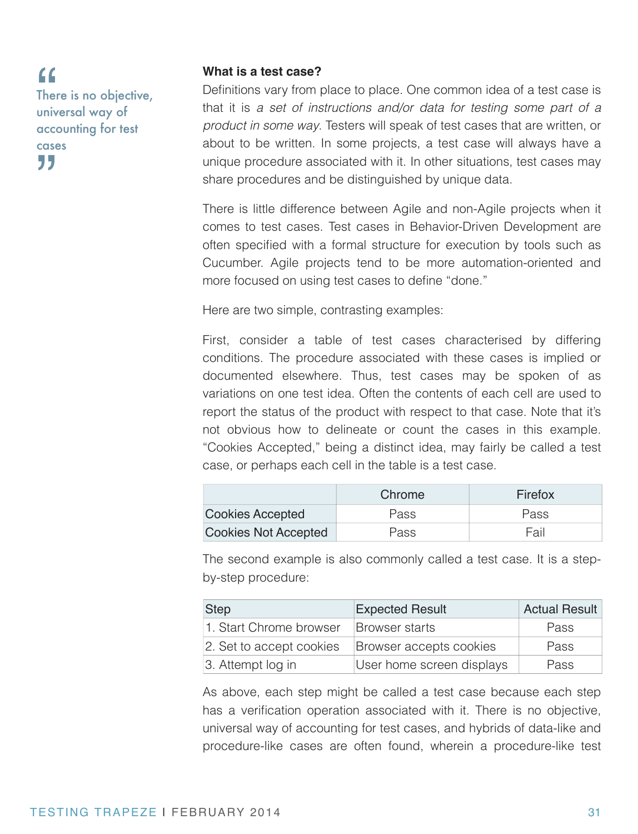There is no objective, universal way of accounting for test cases " "

#### **What is a test case?**

Definitions vary from place to place. One common idea of a test case is that it is *a set of instructions and/or data for testing some part of a product in some way*. Testers will speak of test cases that are written, or about to be written. In some projects, a test case will always have a unique procedure associated with it. In other situations, test cases may share procedures and be distinguished by unique data.

There is little difference between Agile and non-Agile projects when it comes to test cases. Test cases in Behavior-Driven Development are often specified with a formal structure for execution by tools such as Cucumber. Agile projects tend to be more automation-oriented and more focused on using test cases to define "done."

Here are two simple, contrasting examples:

First, consider a table of test cases characterised by differing conditions. The procedure associated with these cases is implied or documented elsewhere. Thus, test cases may be spoken of as variations on one test idea. Often the contents of each cell are used to report the status of the product with respect to that case. Note that it's not obvious how to delineate or count the cases in this example. "Cookies Accepted," being a distinct idea, may fairly be called a test case, or perhaps each cell in the table is a test case.

|                             | Chrome | Firefox |
|-----------------------------|--------|---------|
| <b>Cookies Accepted</b>     | Pass   | Pass    |
| <b>Cookies Not Accepted</b> | Pass   | Fail    |

The second example is also commonly called a test case. It is a stepby-step procedure:

| <b>Step</b>              | <b>Expected Result</b>    | <b>Actual Result</b> |
|--------------------------|---------------------------|----------------------|
| 1. Start Chrome browser  | <b>Browser starts</b>     | <b>Pass</b>          |
| 2. Set to accept cookies | Browser accepts cookies   | <b>Pass</b>          |
| 3. Attempt log in        | User home screen displays | <b>Pass</b>          |

As above, each step might be called a test case because each step has a verification operation associated with it. There is no objective, universal way of accounting for test cases, and hybrids of data-like and procedure-like cases are often found, wherein a procedure-like test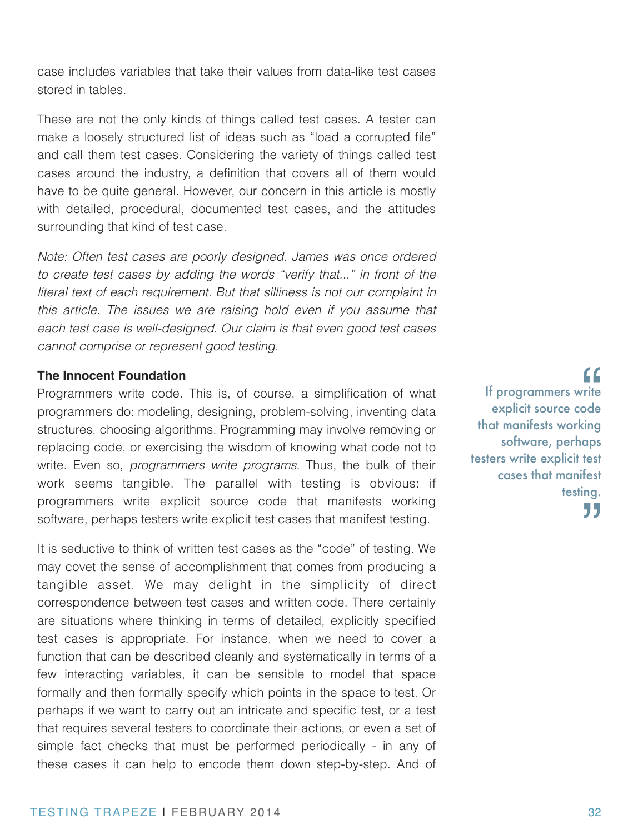case includes variables that take their values from data-like test cases stored in tables.

These are not the only kinds of things called test cases. A tester can make a loosely structured list of ideas such as "load a corrupted file" and call them test cases. Considering the variety of things called test cases around the industry, a definition that covers all of them would have to be quite general. However, our concern in this article is mostly with detailed, procedural, documented test cases, and the attitudes surrounding that kind of test case.

*Note: Often test cases are poorly designed. James was once ordered to create test cases by adding the words "verify that..." in front of the literal text of each requirement. But that silliness is not our complaint in this article. The issues we are raising hold even if you assume that each test case is well-designed. Our claim is that even good test cases cannot comprise or represent good testing.*

#### **The Innocent Foundation**

Programmers write code. This is, of course, a simplification of what programmers do: modeling, designing, problem-solving, inventing data structures, choosing algorithms. Programming may involve removing or replacing code, or exercising the wisdom of knowing what code not to write. Even so, *programmers write programs*. Thus, the bulk of their work seems tangible. The parallel with testing is obvious: if programmers write explicit source code that manifests working software, perhaps testers write explicit test cases that manifest testing.

It is seductive to think of written test cases as the "code" of testing. We may covet the sense of accomplishment that comes from producing a tangible asset. We may delight in the simplicity of direct correspondence between test cases and written code. There certainly are situations where thinking in terms of detailed, explicitly specified test cases is appropriate. For instance, when we need to cover a function that can be described cleanly and systematically in terms of a few interacting variables, it can be sensible to model that space formally and then formally specify which points in the space to test. Or perhaps if we want to carry out an intricate and specific test, or a test that requires several testers to coordinate their actions, or even a set of simple fact checks that must be performed periodically - in any of these cases it can help to encode them down step-by-step. And of

If programmers write explicit source code that manifests working software, perhaps testers write explicit test cases that manifest testing. 77  $\begin{array}{c} \text{if} \\ \text{if} \\ \text{if} \\ \text{if} \\ \text{if} \\ \text{if} \\ \text{if} \\ \text{if} \\ \text{if} \\ \text{if} \\ \text{if} \\ \text{if} \\ \text{if} \\ \text{if} \\ \text{if} \\ \text{if} \\ \text{if} \\ \text{if} \\ \text{if} \\ \text{if} \\ \text{if} \\ \text{if} \\ \text{if} \\ \text{if} \\ \text{if} \\ \text{if} \\ \text{if} \\ \text{if} \\ \text{if} \\ \text{if} \\ \text{if} \\ \text{if} \\ \text{if} \\ \text{if} \\ \text{if} \\ \text{$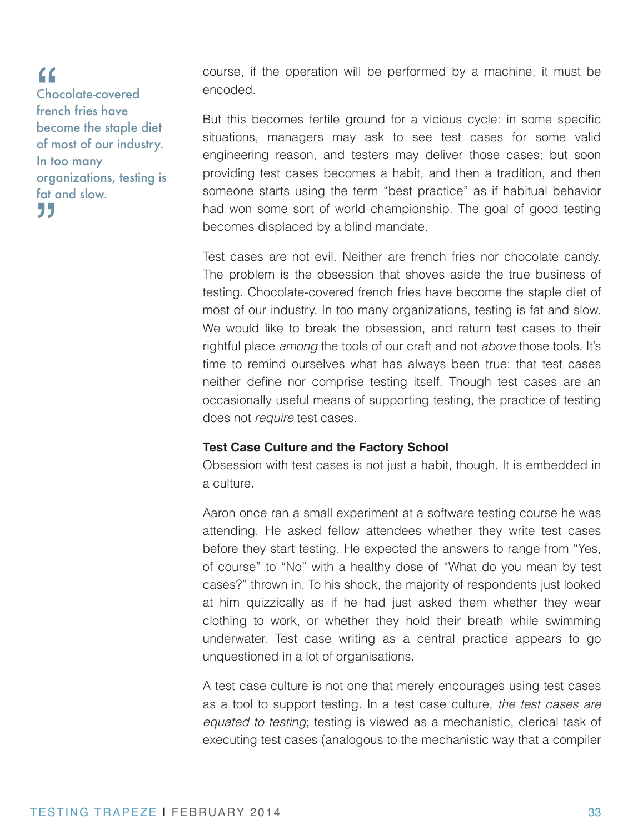Chocolate-covered french fries have become the staple diet of most of our industry. In too many organizations, testing is fat and slow. " "

course, if the operation will be performed by a machine, it must be encoded.

But this becomes fertile ground for a vicious cycle: in some specific situations, managers may ask to see test cases for some valid engineering reason, and testers may deliver those cases; but soon providing test cases becomes a habit, and then a tradition, and then someone starts using the term "best practice" as if habitual behavior had won some sort of world championship. The goal of good testing becomes displaced by a blind mandate.

Test cases are not evil. Neither are french fries nor chocolate candy. The problem is the obsession that shoves aside the true business of testing. Chocolate-covered french fries have become the staple diet of most of our industry. In too many organizations, testing is fat and slow. We would like to break the obsession, and return test cases to their rightful place *among* the tools of our craft and not *above* those tools. It's time to remind ourselves what has always been true: that test cases neither define nor comprise testing itself. Though test cases are an occasionally useful means of supporting testing, the practice of testing does not *require* test cases.

#### **Test Case Culture and the Factory School**

Obsession with test cases is not just a habit, though. It is embedded in a culture.

Aaron once ran a small experiment at a software testing course he was attending. He asked fellow attendees whether they write test cases before they start testing. He expected the answers to range from "Yes, of course" to "No" with a healthy dose of "What do you mean by test cases?" thrown in. To his shock, the majority of respondents just looked at him quizzically as if he had just asked them whether they wear clothing to work, or whether they hold their breath while swimming underwater. Test case writing as a central practice appears to go unquestioned in a lot of organisations.

A test case culture is not one that merely encourages using test cases as a tool to support testing. In a test case culture, *the test cases are equated to testing*; testing is viewed as a mechanistic, clerical task of executing test cases (analogous to the mechanistic way that a compiler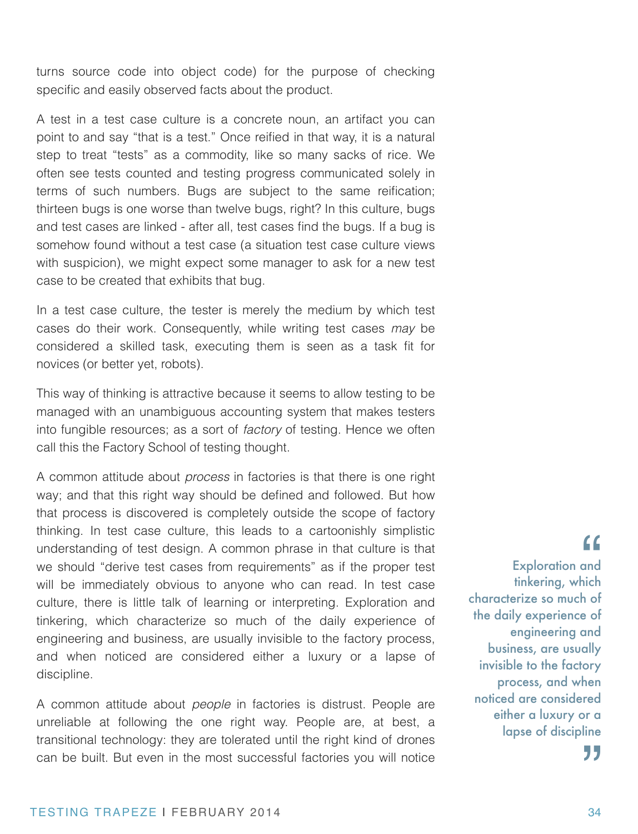turns source code into object code) for the purpose of checking specific and easily observed facts about the product.

A test in a test case culture is a concrete noun, an artifact you can point to and say "that is a test." Once reified in that way, it is a natural step to treat "tests" as a commodity, like so many sacks of rice. We often see tests counted and testing progress communicated solely in terms of such numbers. Bugs are subject to the same reification; thirteen bugs is one worse than twelve bugs, right? In this culture, bugs and test cases are linked - after all, test cases find the bugs. If a bug is somehow found without a test case (a situation test case culture views with suspicion), we might expect some manager to ask for a new test case to be created that exhibits that bug.

In a test case culture, the tester is merely the medium by which test cases do their work. Consequently, while writing test cases *may* be considered a skilled task, executing them is seen as a task fit for novices (or better yet, robots).

This way of thinking is attractive because it seems to allow testing to be managed with an unambiguous accounting system that makes testers into fungible resources; as a sort of *factory* of testing. Hence we often call this the Factory School of testing thought.

A common attitude about *process* in factories is that there is one right way; and that this right way should be defined and followed. But how that process is discovered is completely outside the scope of factory thinking. In test case culture, this leads to a cartoonishly simplistic understanding of test design. A common phrase in that culture is that we should "derive test cases from requirements" as if the proper test will be immediately obvious to anyone who can read. In test case culture, there is little talk of learning or interpreting. Exploration and tinkering, which characterize so much of the daily experience of engineering and business, are usually invisible to the factory process, and when noticed are considered either a luxury or a lapse of discipline.

A common attitude about *people* in factories is distrust. People are unreliable at following the one right way. People are, at best, a transitional technology: they are tolerated until the right kind of drones can be built. But even in the most successful factories you will notice

Exploration and tinkering, which characterize so much of the daily experience of engineering and business, are usually invisible to the factory process, and when noticed are considered either a luxury or a lapse of discipline 77 "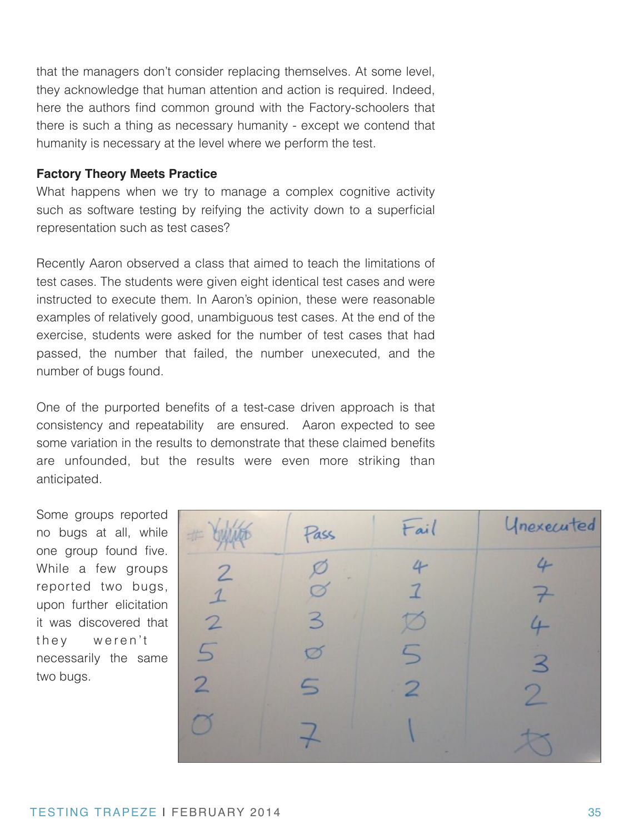that the managers don't consider replacing themselves. At some level, they acknowledge that human attention and action is required. Indeed, here the authors find common ground with the Factory-schoolers that there is such a thing as necessary humanity - except we contend that humanity is necessary at the level where we perform the test.

#### **Factory Theory Meets Practice**

What happens when we try to manage a complex cognitive activity such as software testing by reifying the activity down to a superficial representation such as test cases?

Recently Aaron observed a class that aimed to teach the limitations of test cases. The students were given eight identical test cases and were instructed to execute them. In Aaron's opinion, these were reasonable examples of relatively good, unambiguous test cases. At the end of the exercise, students were asked for the number of test cases that had passed, the number that failed, the number unexecuted, and the number of bugs found.

One of the purported benefits of a test-case driven approach is that consistency and repeatability are ensured. Aaron expected to see some variation in the results to demonstrate that these claimed benefits are unfounded, but the results were even more striking than anticipated.

Some groups reported no bugs at all, while one group found five. While a few groups reported two bugs, upon further elicitation it was discovered that they weren't necessarily the same two bugs.

| # Cuinto        | Pass        | Fail           | Unexecuted               |
|-----------------|-------------|----------------|--------------------------|
| $\overline{2}$  |             | 4              | 4                        |
| $\mathbf{1}$    |             | $\overline{7}$ |                          |
| $\overline{2}$  | 3           | Ø              | $\overline{\phantom{a}}$ |
| $5\overline{)}$ | ヵ           | 5              | $\prec$                  |
| $\overline{2}$  | $\subseteq$ | 2              | $\mathcal{P}$            |
|                 |             |                |                          |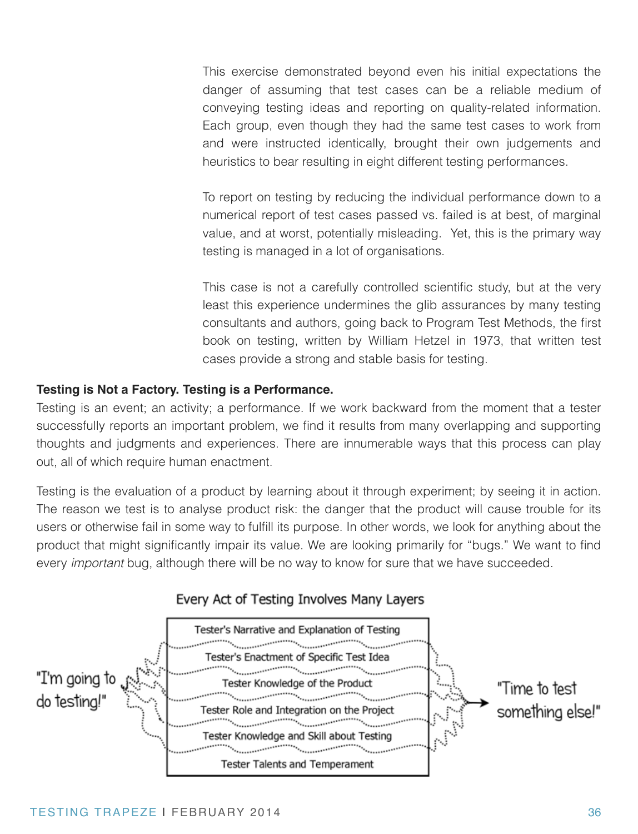This exercise demonstrated beyond even his initial expectations the danger of assuming that test cases can be a reliable medium of conveying testing ideas and reporting on quality-related information. Each group, even though they had the same test cases to work from and were instructed identically, brought their own judgements and heuristics to bear resulting in eight different testing performances.

To report on testing by reducing the individual performance down to a numerical report of test cases passed vs. failed is at best, of marginal value, and at worst, potentially misleading. Yet, this is the primary way testing is managed in a lot of organisations.

This case is not a carefully controlled scientific study, but at the very least this experience undermines the glib assurances by many testing consultants and authors, going back to Program Test Methods, the first book on testing, written by William Hetzel in 1973, that written test cases provide a strong and stable basis for testing.

#### **Testing is Not a Factory. Testing is a Performance.**

Testing is an event; an activity; a performance. If we work backward from the moment that a tester successfully reports an important problem, we find it results from many overlapping and supporting thoughts and judgments and experiences. There are innumerable ways that this process can play out, all of which require human enactment.

Testing is the evaluation of a product by learning about it through experiment; by seeing it in action. The reason we test is to analyse product risk: the danger that the product will cause trouble for its users or otherwise fail in some way to fulfill its purpose. In other words, we look for anything about the product that might significantly impair its value. We are looking primarily for "bugs." We want to find every *important* bug, although there will be no way to know for sure that we have succeeded.



#### TESTING TRAPEZE | FEBRUARY 2014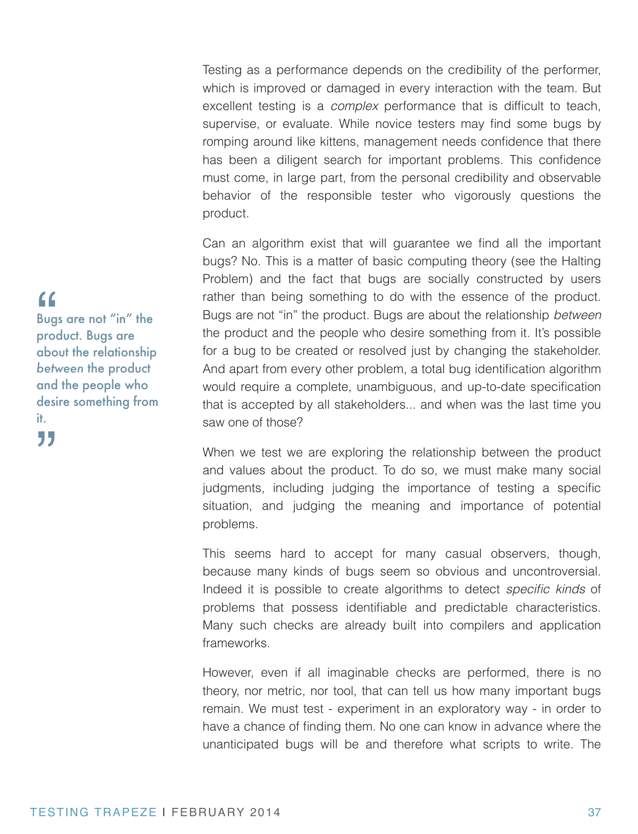Testing as a performance depends on the credibility of the performer, which is improved or damaged in every interaction with the team. But excellent testing is a *complex* performance that is difficult to teach, supervise, or evaluate. While novice testers may find some bugs by romping around like kittens, management needs confidence that there has been a diligent search for important problems. This confidence must come, in large part, from the personal credibility and observable behavior of the responsible tester who vigorously questions the product.

Can an algorithm exist that will guarantee we find all the important bugs? No. This is a matter of basic computing theory (see the Halting Problem) and the fact that bugs are socially constructed by users rather than being something to do with the essence of the product. Bugs are not "in" the product. Bugs are about the relationship *between* the product and the people who desire something from it. It's possible for a bug to be created or resolved just by changing the stakeholder. And apart from every other problem, a total bug identification algorithm would require a complete, unambiguous, and up-to-date specification that is accepted by all stakeholders... and when was the last time you saw one of those?

When we test we are exploring the relationship between the product and values about the product. To do so, we must make many social judgments, including judging the importance of testing a specific situation, and judging the meaning and importance of potential problems.

This seems hard to accept for many casual observers, though, because many kinds of bugs seem so obvious and uncontroversial. Indeed it is possible to create algorithms to detect *specific kinds* of problems that possess identifiable and predictable characteristics. Many such checks are already built into compilers and application frameworks.

However, even if all imaginable checks are performed, there is no theory, nor metric, nor tool, that can tell us how many important bugs remain. We must test - experiment in an exploratory way - in order to have a chance of finding them. No one can know in advance where the unanticipated bugs will be and therefore what scripts to write. The

### "

Bugs are not "in" the product. Bugs are about the relationship *between* the product and the people who desire something from it. "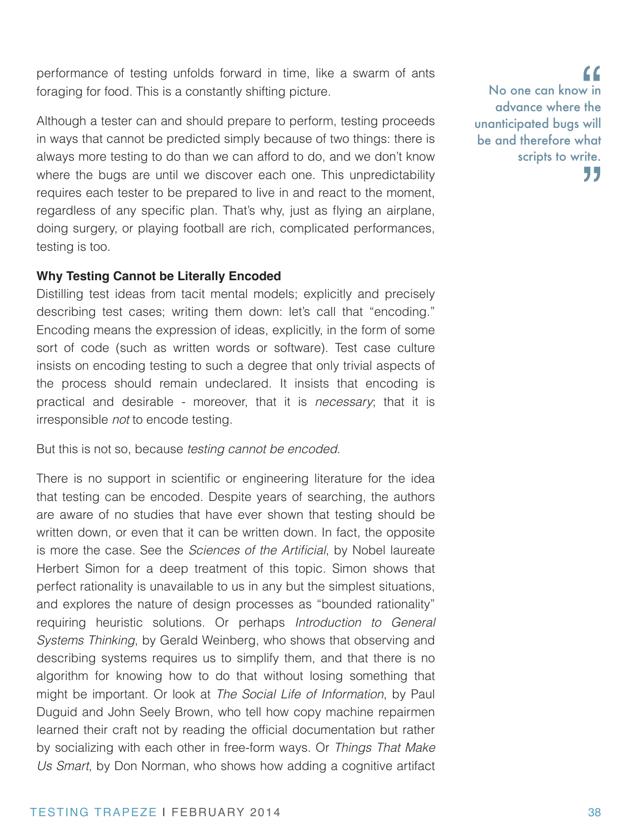performance of testing unfolds forward in time, like a swarm of ants foraging for food. This is a constantly shifting picture.

Although a tester can and should prepare to perform, testing proceeds in ways that cannot be predicted simply because of two things: there is always more testing to do than we can afford to do, and we don't know where the bugs are until we discover each one. This unpredictability requires each tester to be prepared to live in and react to the moment, regardless of any specific plan. That's why, just as flying an airplane, doing surgery, or playing football are rich, complicated performances, testing is too.

#### **Why Testing Cannot be Literally Encoded**

Distilling test ideas from tacit mental models; explicitly and precisely describing test cases; writing them down: let's call that "encoding." Encoding means the expression of ideas, explicitly, in the form of some sort of code (such as written words or software). Test case culture insists on encoding testing to such a degree that only trivial aspects of the process should remain undeclared. It insists that encoding is practical and desirable - moreover, that it is *necessary*; that it is irresponsible *not* to encode testing.

But this is not so, because *testing cannot be encoded*.

There is no support in scientific or engineering literature for the idea that testing can be encoded. Despite years of searching, the authors are aware of no studies that have ever shown that testing should be written down, or even that it can be written down. In fact, the opposite is more the case. See the *Sciences of the Artificial*, by Nobel laureate Herbert Simon for a deep treatment of this topic. Simon shows that perfect rationality is unavailable to us in any but the simplest situations, and explores the nature of design processes as "bounded rationality" requiring heuristic solutions. Or perhaps *Introduction to General Systems Thinking*, by Gerald Weinberg, who shows that observing and describing systems requires us to simplify them, and that there is no algorithm for knowing how to do that without losing something that might be important. Or look at *The Social Life of Information*, by Paul Duguid and John Seely Brown, who tell how copy machine repairmen learned their craft not by reading the official documentation but rather by socializing with each other in free-form ways. Or *Things That Make Us Smart*, by Don Norman, who shows how adding a cognitive artifact

No one can know in advance where the unanticipated bugs will be and therefore what scripts to write. 77  $\begin{array}{c} \mathbf{G} \\ \mathbf{w} \\ \mathbf{in} \\ \mathbf{the} \end{array}$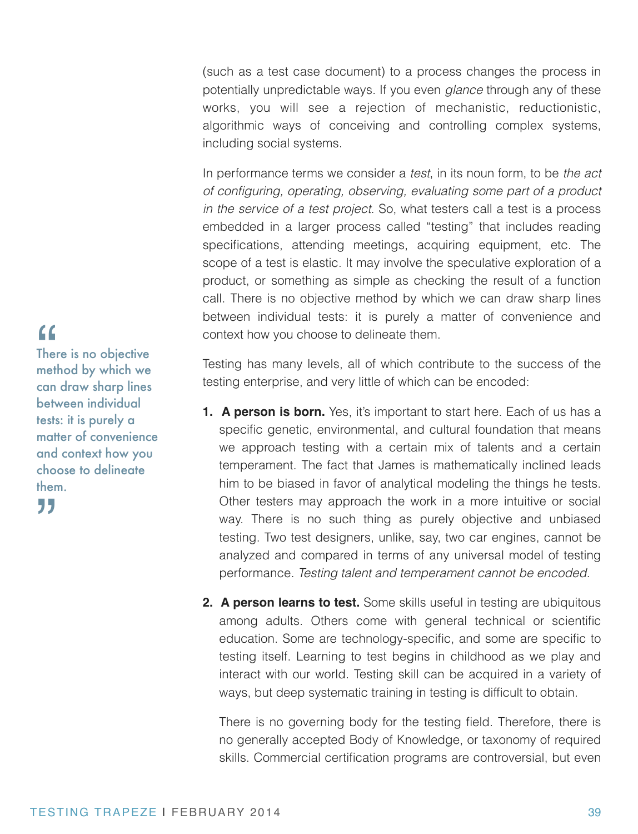(such as a test case document) to a process changes the process in potentially unpredictable ways. If you even *glance* through any of these works, you will see a rejection of mechanistic, reductionistic, algorithmic ways of conceiving and controlling complex systems, including social systems.

In performance terms we consider a *test*, in its noun form, to be *the act of configuring, operating, observing, evaluating some part of a product in the service of a test project*. So, what testers call a test is a process embedded in a larger process called "testing" that includes reading specifications, attending meetings, acquiring equipment, etc. The scope of a test is elastic. It may involve the speculative exploration of a product, or something as simple as checking the result of a function call. There is no objective method by which we can draw sharp lines between individual tests: it is purely a matter of convenience and context how you choose to delineate them.

Testing has many levels, all of which contribute to the success of the testing enterprise, and very little of which can be encoded:

- **1. A person is born.** Yes, it's important to start here. Each of us has a specific genetic, environmental, and cultural foundation that means we approach testing with a certain mix of talents and a certain temperament. The fact that James is mathematically inclined leads him to be biased in favor of analytical modeling the things he tests. Other testers may approach the work in a more intuitive or social way. There is no such thing as purely objective and unbiased testing. Two test designers, unlike, say, two car engines, cannot be analyzed and compared in terms of any universal model of testing performance. *Testing talent and temperament cannot be encoded.*
- **2. A person learns to test.** Some skills useful in testing are ubiquitous among adults. Others come with general technical or scientific education. Some are technology-specific, and some are specific to testing itself. Learning to test begins in childhood as we play and interact with our world. Testing skill can be acquired in a variety of ways, but deep systematic training in testing is difficult to obtain.

There is no governing body for the testing field. Therefore, there is no generally accepted Body of Knowledge, or taxonomy of required skills. Commercial certification programs are controversial, but even

# "

There is no objective method by which we can draw sharp lines between individual tests: it is purely a matter of convenience and context how you choose to delineate them.

"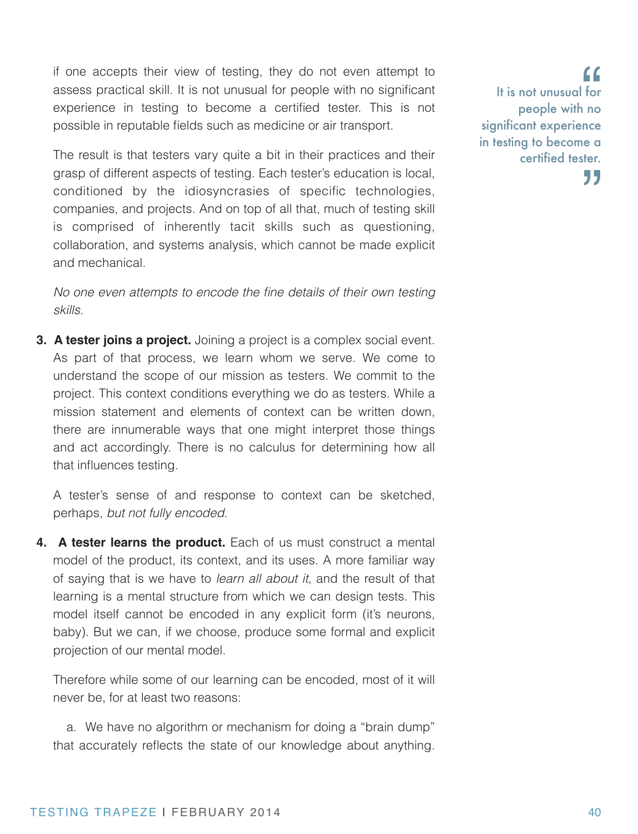if one accepts their view of testing, they do not even attempt to assess practical skill. It is not unusual for people with no significant experience in testing to become a certified tester. This is not possible in reputable fields such as medicine or air transport.

The result is that testers vary quite a bit in their practices and their grasp of different aspects of testing. Each tester's education is local, conditioned by the idiosyncrasies of specific technologies, companies, and projects. And on top of all that, much of testing skill is comprised of inherently tacit skills such as questioning, collaboration, and systems analysis, which cannot be made explicit and mechanical.

*No one even attempts to encode the fine details of their own testing skills.*

**3. A tester joins a project.** Joining a project is a complex social event. As part of that process, we learn whom we serve. We come to understand the scope of our mission as testers. We commit to the project. This context conditions everything we do as testers. While a mission statement and elements of context can be written down, there are innumerable ways that one might interpret those things and act accordingly. There is no calculus for determining how all that influences testing.

A tester's sense of and response to context can be sketched, perhaps, *but not fully encoded*.

**4. A tester learns the product.** Each of us must construct a mental model of the product, its context, and its uses. A more familiar way of saying that is we have to *learn all about it*, and the result of that learning is a mental structure from which we can design tests. This model itself cannot be encoded in any explicit form (it's neurons, baby). But we can, if we choose, produce some formal and explicit projection of our mental model.

Therefore while some of our learning can be encoded, most of it will never be, for at least two reasons:

 a. We have no algorithm or mechanism for doing a "brain dump" that accurately reflects the state of our knowledge about anything.

It is not unusual for people with no significant experience in testing to become a certified tester. 77  $\begin{array}{c}\nG \\
\text{for} \\
\text{no}\n\end{array}$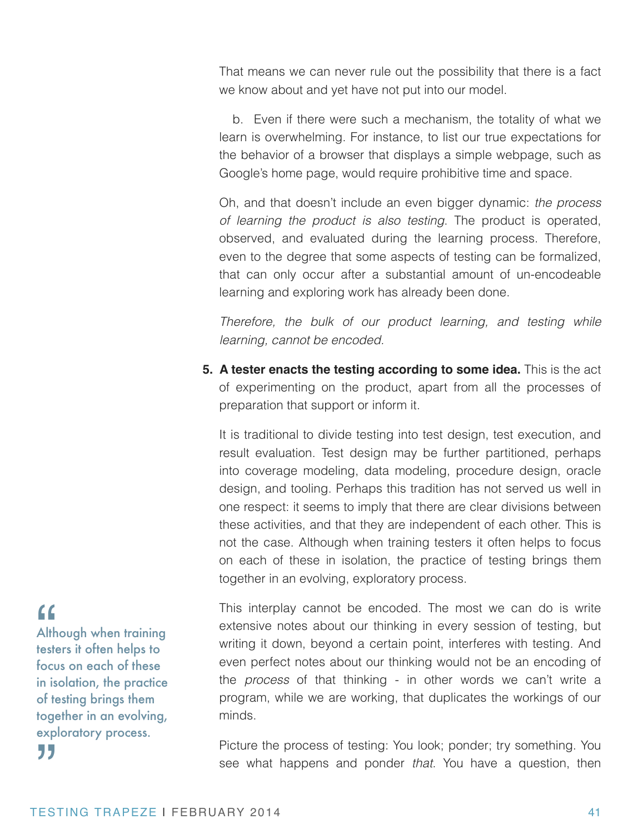That means we can never rule out the possibility that there is a fact we know about and yet have not put into our model.

 b. Even if there were such a mechanism, the totality of what we learn is overwhelming. For instance, to list our true expectations for the behavior of a browser that displays a simple webpage, such as Google's home page, would require prohibitive time and space.

Oh, and that doesn't include an even bigger dynamic: *the process of learning the product is also testing*. The product is operated, observed, and evaluated during the learning process. Therefore, even to the degree that some aspects of testing can be formalized, that can only occur after a substantial amount of un-encodeable learning and exploring work has already been done.

*Therefore, the bulk of our product learning, and testing while learning, cannot be encoded.*

**5. A tester enacts the testing according to some idea.** This is the act of experimenting on the product, apart from all the processes of preparation that support or inform it.

It is traditional to divide testing into test design, test execution, and result evaluation. Test design may be further partitioned, perhaps into coverage modeling, data modeling, procedure design, oracle design, and tooling. Perhaps this tradition has not served us well in one respect: it seems to imply that there are clear divisions between these activities, and that they are independent of each other. This is not the case. Although when training testers it often helps to focus on each of these in isolation, the practice of testing brings them together in an evolving, exploratory process.

This interplay cannot be encoded. The most we can do is write extensive notes about our thinking in every session of testing, but writing it down, beyond a certain point, interferes with testing. And even perfect notes about our thinking would not be an encoding of the *process* of that thinking - in other words we can't write a program, while we are working, that duplicates the workings of our minds.

Picture the process of testing: You look; ponder; try something. You see what happens and ponder *that*. You have a question, then

## "

Although when training testers it often helps to focus on each of these in isolation, the practice of testing brings them together in an evolving, exploratory process. "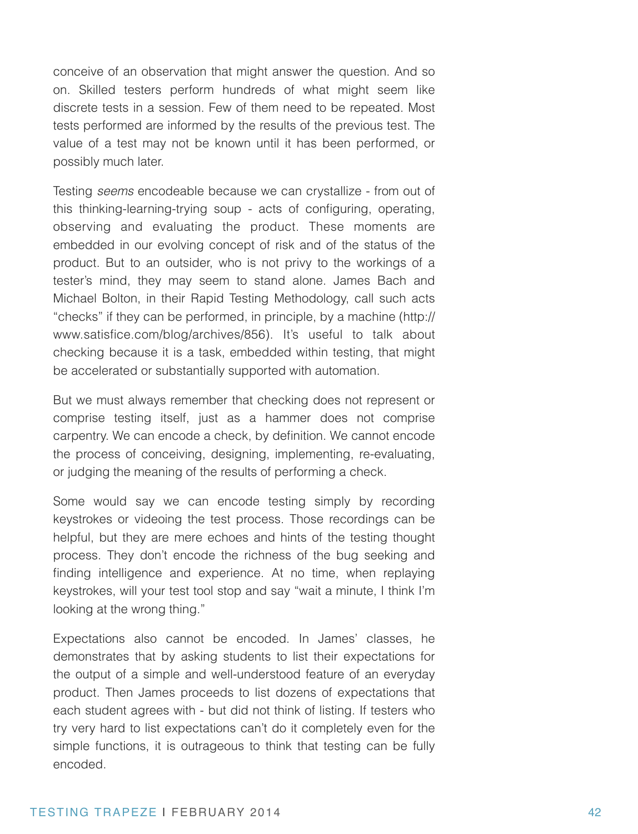conceive of an observation that might answer the question. And so on. Skilled testers perform hundreds of what might seem like discrete tests in a session. Few of them need to be repeated. Most tests performed are informed by the results of the previous test. The value of a test may not be known until it has been performed, or possibly much later.

Testing *seems* encodeable because we can crystallize - from out of this thinking-learning-trying soup - acts of configuring, operating, observing and evaluating the product. These moments are embedded in our evolving concept of risk and of the status of the product. But to an outsider, who is not privy to the workings of a tester's mind, they may seem to stand alone. James Bach and Michael Bolton, in their Rapid Testing Methodology, call such acts "checks" if they can be performed, in principle, by a machine (http:// www.satisfice.com/blog/archives/856). It's useful to talk about checking because it is a task, embedded within testing, that might be accelerated or substantially supported with automation.

But we must always remember that checking does not represent or comprise testing itself, just as a hammer does not comprise carpentry. We can encode a check, by definition. We cannot encode the process of conceiving, designing, implementing, re-evaluating, or judging the meaning of the results of performing a check.

Some would say we can encode testing simply by recording keystrokes or videoing the test process. Those recordings can be helpful, but they are mere echoes and hints of the testing thought process. They don't encode the richness of the bug seeking and finding intelligence and experience. At no time, when replaying keystrokes, will your test tool stop and say "wait a minute, I think I'm looking at the wrong thing."

Expectations also cannot be encoded. In James' classes, he demonstrates that by asking students to list their expectations for the output of a simple and well-understood feature of an everyday product. Then James proceeds to list dozens of expectations that each student agrees with - but did not think of listing. If testers who try very hard to list expectations can't do it completely even for the simple functions, it is outrageous to think that testing can be fully encoded.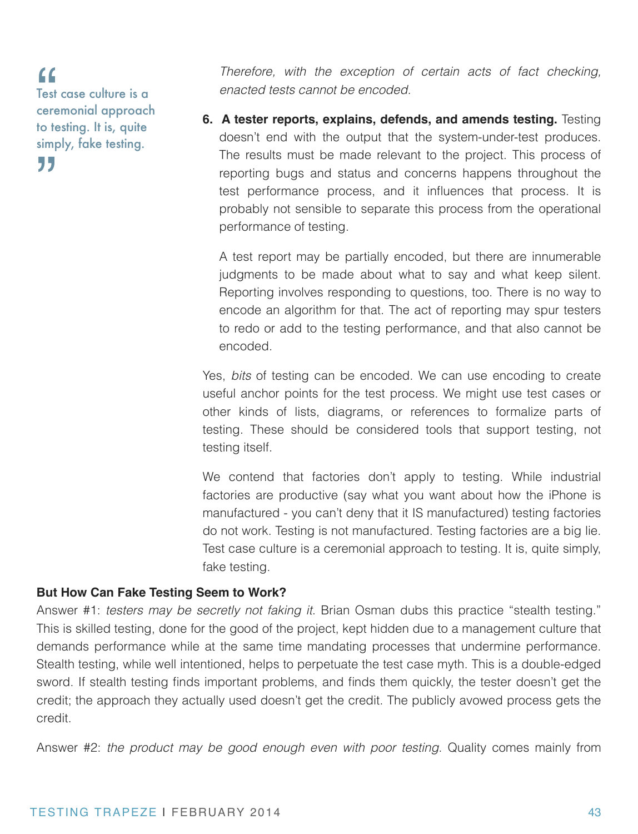Test case culture is a ceremonial approach to testing. It is, quite simply, fake testing. " "

*Therefore, with the exception of certain acts of fact checking, enacted tests cannot be encoded.*

**6. A tester reports, explains, defends, and amends testing.** Testing doesn't end with the output that the system-under-test produces. The results must be made relevant to the project. This process of reporting bugs and status and concerns happens throughout the test performance process, and it influences that process. It is probably not sensible to separate this process from the operational performance of testing.

A test report may be partially encoded, but there are innumerable judgments to be made about what to say and what keep silent. Reporting involves responding to questions, too. There is no way to encode an algorithm for that. The act of reporting may spur testers to redo or add to the testing performance, and that also cannot be encoded.

Yes, *bits* of testing can be encoded. We can use encoding to create useful anchor points for the test process. We might use test cases or other kinds of lists, diagrams, or references to formalize parts of testing. These should be considered tools that support testing, not testing itself.

We contend that factories don't apply to testing. While industrial factories are productive (say what you want about how the iPhone is manufactured - you can't deny that it IS manufactured) testing factories do not work. Testing is not manufactured. Testing factories are a big lie. Test case culture is a ceremonial approach to testing. It is, quite simply, fake testing.

#### **But How Can Fake Testing Seem to Work?**

Answer #1: *testers may be secretly not faking it*. Brian Osman dubs this practice "stealth testing." This is skilled testing, done for the good of the project, kept hidden due to a management culture that demands performance while at the same time mandating processes that undermine performance. Stealth testing, while well intentioned, helps to perpetuate the test case myth. This is a double-edged sword. If stealth testing finds important problems, and finds them quickly, the tester doesn't get the credit; the approach they actually used doesn't get the credit. The publicly avowed process gets the credit.

Answer #2: *the product may be good enough even with poor testing*. Quality comes mainly from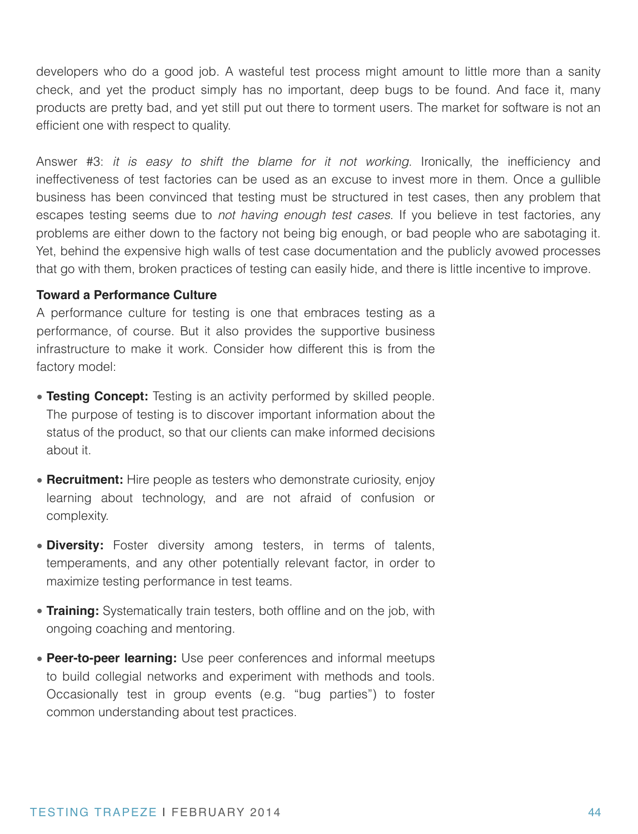developers who do a good job. A wasteful test process might amount to little more than a sanity check, and yet the product simply has no important, deep bugs to be found. And face it, many products are pretty bad, and yet still put out there to torment users. The market for software is not an efficient one with respect to quality.

Answer #3: *it is easy to shift the blame for it not working*. Ironically, the inefficiency and ineffectiveness of test factories can be used as an excuse to invest more in them. Once a gullible business has been convinced that testing must be structured in test cases, then any problem that escapes testing seems due to *not having enough test cases*. If you believe in test factories, any problems are either down to the factory not being big enough, or bad people who are sabotaging it. Yet, behind the expensive high walls of test case documentation and the publicly avowed processes that go with them, broken practices of testing can easily hide, and there is little incentive to improve.

#### **Toward a Performance Culture**

A performance culture for testing is one that embraces testing as a performance, of course. But it also provides the supportive business infrastructure to make it work. Consider how different this is from the factory model:

- **Testing Concept:** Testing is an activity performed by skilled people. The purpose of testing is to discover important information about the status of the product, so that our clients can make informed decisions about it.
- **Recruitment:** Hire people as testers who demonstrate curiosity, enjoy learning about technology, and are not afraid of confusion or complexity.
- **Diversity:** Foster diversity among testers, in terms of talents, temperaments, and any other potentially relevant factor, in order to maximize testing performance in test teams.
- **Training:** Systematically train testers, both offline and on the job, with ongoing coaching and mentoring.
- **Peer-to-peer learning:** Use peer conferences and informal meetups to build collegial networks and experiment with methods and tools. Occasionally test in group events (e.g. "bug parties") to foster common understanding about test practices.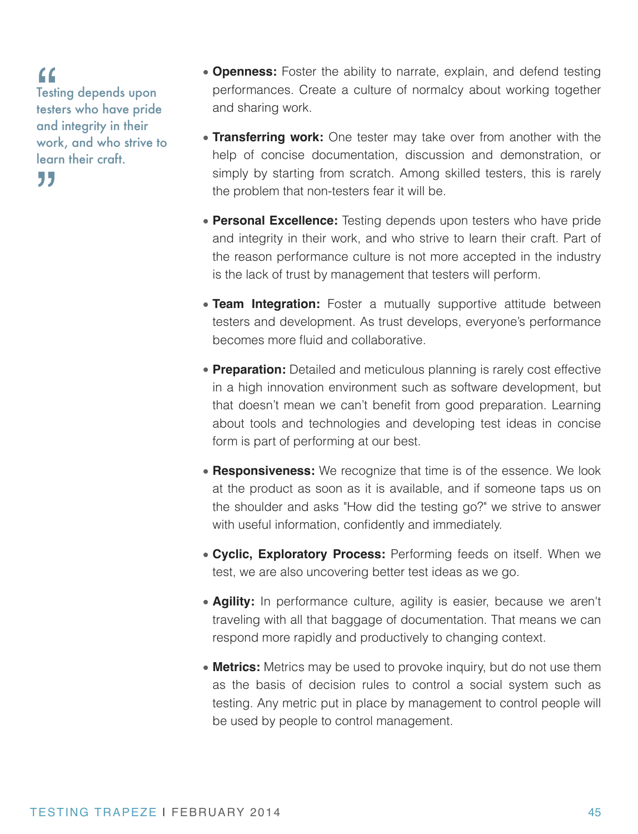"

77

Testing depends upon testers who have pride and integrity in their work, and who strive to learn their craft.

- **Openness:** Foster the ability to narrate, explain, and defend testing performances. Create a culture of normalcy about working together and sharing work.
- **Transferring work:** One tester may take over from another with the help of concise documentation, discussion and demonstration, or simply by starting from scratch. Among skilled testers, this is rarely the problem that non-testers fear it will be.
- **Personal Excellence:** Testing depends upon testers who have pride and integrity in their work, and who strive to learn their craft. Part of the reason performance culture is not more accepted in the industry is the lack of trust by management that testers will perform.
- **Team Integration:** Foster a mutually supportive attitude between testers and development. As trust develops, everyone's performance becomes more fluid and collaborative.
- **Preparation:** Detailed and meticulous planning is rarely cost effective in a high innovation environment such as software development, but that doesn't mean we can't benefit from good preparation. Learning about tools and technologies and developing test ideas in concise form is part of performing at our best.
- **Responsiveness:** We recognize that time is of the essence. We look at the product as soon as it is available, and if someone taps us on the shoulder and asks "How did the testing go?" we strive to answer with useful information, confidently and immediately.
- **Cyclic, Exploratory Process:** Performing feeds on itself. When we test, we are also uncovering better test ideas as we go.
- **Agility:** In performance culture, agility is easier, because we aren't traveling with all that baggage of documentation. That means we can respond more rapidly and productively to changing context.
- **Metrics:** Metrics may be used to provoke inquiry, but do not use them as the basis of decision rules to control a social system such as testing. Any metric put in place by management to control people will be used by people to control management.